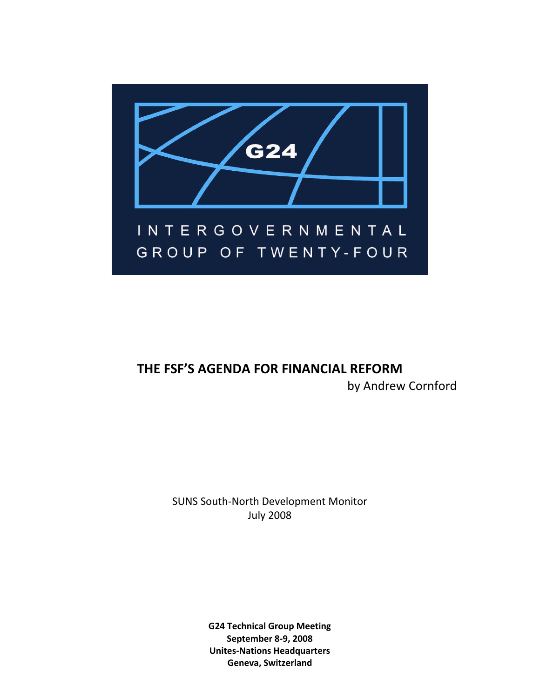

# **THE FSF'S AGENDA FOR FINANCIAL REFORM** by Andrew Cornford

SUNS South‐North Development Monitor July 2008

> **G24 Technical Group Meeting September 8‐9, 2008 Unites‐Nations Headquarters Geneva, Switzerland**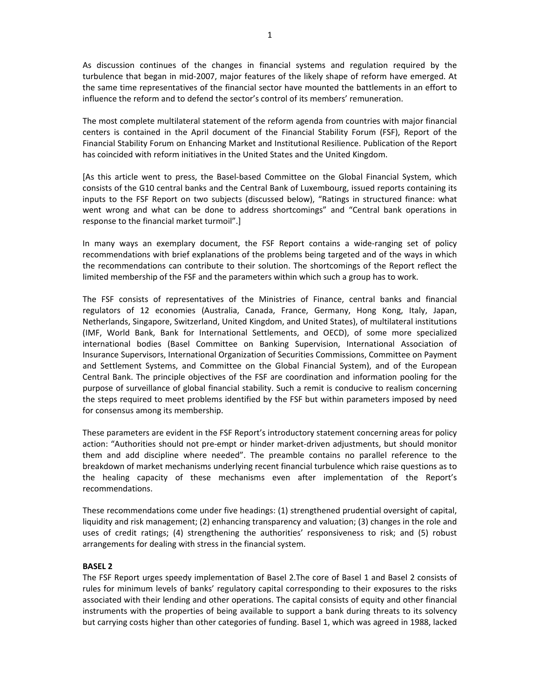As discussion continues of the changes in financial systems and regulation required by the turbulence that began in mid‐2007, major features of the likely shape of reform have emerged. At the same time representatives of the financial sector have mounted the battlements in an effort to influence the reform and to defend the sector's control of its members' remuneration.

The most complete multilateral statement of the reform agenda from countries with major financial centers is contained in the April document of the Financial Stability Forum (FSF), Report of the Financial Stability Forum on Enhancing Market and Institutional Resilience. Publication of the Report has coincided with reform initiatives in the United States and the United Kingdom.

[As this article went to press, the Basel‐based Committee on the Global Financial System, which consists of the G10 central banks and the Central Bank of Luxembourg, issued reports containing its inputs to the FSF Report on two subjects (discussed below), "Ratings in structured finance: what went wrong and what can be done to address shortcomings" and "Central bank operations in response to the financial market turmoil".]

In many ways an exemplary document, the FSF Report contains a wide-ranging set of policy recommendations with brief explanations of the problems being targeted and of the ways in which the recommendations can contribute to their solution. The shortcomings of the Report reflect the limited membership of the FSF and the parameters within which such a group has to work.

The FSF consists of representatives of the Ministries of Finance, central banks and financial regulators of 12 economies (Australia, Canada, France, Germany, Hong Kong, Italy, Japan, Netherlands, Singapore, Switzerland, United Kingdom, and United States), of multilateral institutions (IMF, World Bank, Bank for International Settlements, and OECD), of some more specialized international bodies (Basel Committee on Banking Supervision, International Association of Insurance Supervisors, International Organization of Securities Commissions, Committee on Payment and Settlement Systems, and Committee on the Global Financial System), and of the European Central Bank. The principle objectives of the FSF are coordination and information pooling for the purpose of surveillance of global financial stability. Such a remit is conducive to realism concerning the steps required to meet problems identified by the FSF but within parameters imposed by need for consensus among its membership.

These parameters are evident in the FSF Report's introductory statement concerning areas for policy action: "Authorities should not pre‐empt or hinder market‐driven adjustments, but should monitor them and add discipline where needed". The preamble contains no parallel reference to the breakdown of market mechanisms underlying recent financial turbulence which raise questions as to the healing capacity of these mechanisms even after implementation of the Report's recommendations.

These recommendations come under five headings: (1) strengthened prudential oversight of capital, liquidity and risk management; (2) enhancing transparency and valuation; (3) changes in the role and uses of credit ratings; (4) strengthening the authorities' responsiveness to risk; and (5) robust arrangements for dealing with stress in the financial system.

# **BASEL 2**

The FSF Report urges speedy implementation of Basel 2.The core of Basel 1 and Basel 2 consists of rules for minimum levels of banks' regulatory capital corresponding to their exposures to the risks associated with their lending and other operations. The capital consists of equity and other financial instruments with the properties of being available to support a bank during threats to its solvency but carrying costs higher than other categories of funding. Basel 1, which was agreed in 1988, lacked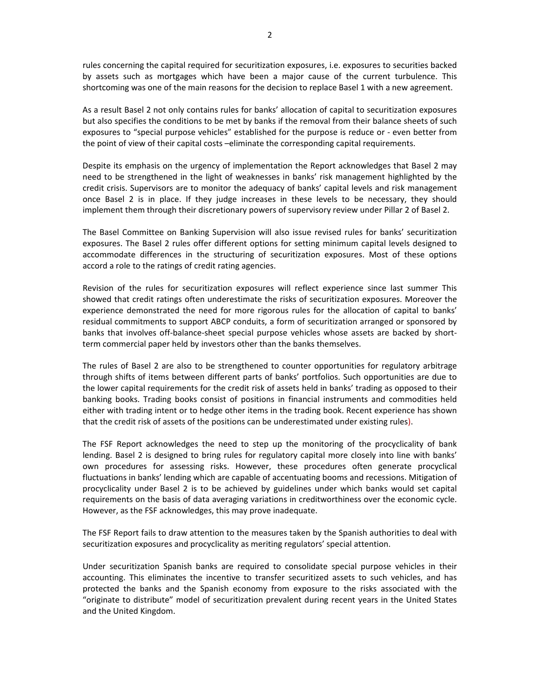rules concerning the capital required for securitization exposures, i.e. exposures to securities backed by assets such as mortgages which have been a major cause of the current turbulence. This shortcoming was one of the main reasons for the decision to replace Basel 1 with a new agreement.

As a result Basel 2 not only contains rules for banks' allocation of capital to securitization exposures but also specifies the conditions to be met by banks if the removal from their balance sheets of such exposures to "special purpose vehicles" established for the purpose is reduce or ‐ even better from the point of view of their capital costs –eliminate the corresponding capital requirements.

Despite its emphasis on the urgency of implementation the Report acknowledges that Basel 2 may need to be strengthened in the light of weaknesses in banks' risk management highlighted by the credit crisis. Supervisors are to monitor the adequacy of banks' capital levels and risk management once Basel 2 is in place. If they judge increases in these levels to be necessary, they should implement them through their discretionary powers of supervisory review under Pillar 2 of Basel 2.

The Basel Committee on Banking Supervision will also issue revised rules for banks' securitization exposures. The Basel 2 rules offer different options for setting minimum capital levels designed to accommodate differences in the structuring of securitization exposures. Most of these options accord a role to the ratings of credit rating agencies.

Revision of the rules for securitization exposures will reflect experience since last summer This showed that credit ratings often underestimate the risks of securitization exposures. Moreover the experience demonstrated the need for more rigorous rules for the allocation of capital to banks' residual commitments to support ABCP conduits, a form of securitization arranged or sponsored by banks that involves off-balance-sheet special purpose vehicles whose assets are backed by shortterm commercial paper held by investors other than the banks themselves.

The rules of Basel 2 are also to be strengthened to counter opportunities for regulatory arbitrage through shifts of items between different parts of banks' portfolios. Such opportunities are due to the lower capital requirements for the credit risk of assets held in banks' trading as opposed to their banking books. Trading books consist of positions in financial instruments and commodities held either with trading intent or to hedge other items in the trading book. Recent experience has shown that the credit risk of assets of the positions can be underestimated under existing rules).

The FSF Report acknowledges the need to step up the monitoring of the procyclicality of bank lending. Basel 2 is designed to bring rules for regulatory capital more closely into line with banks' own procedures for assessing risks. However, these procedures often generate procyclical fluctuations in banks' lending which are capable of accentuating booms and recessions. Mitigation of procyclicality under Basel 2 is to be achieved by guidelines under which banks would set capital requirements on the basis of data averaging variations in creditworthiness over the economic cycle. However, as the FSF acknowledges, this may prove inadequate.

The FSF Report fails to draw attention to the measures taken by the Spanish authorities to deal with securitization exposures and procyclicality as meriting regulators' special attention.

Under securitization Spanish banks are required to consolidate special purpose vehicles in their accounting. This eliminates the incentive to transfer securitized assets to such vehicles, and has protected the banks and the Spanish economy from exposure to the risks associated with the "originate to distribute" model of securitization prevalent during recent years in the United States and the United Kingdom.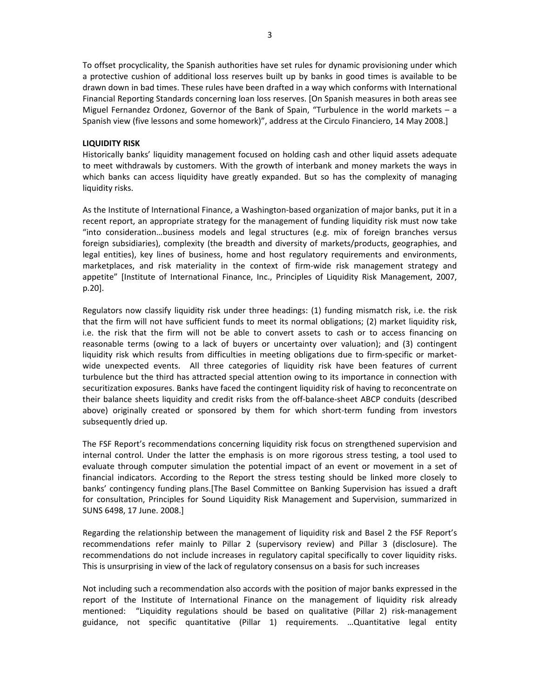To offset procyclicality, the Spanish authorities have set rules for dynamic provisioning under which a protective cushion of additional loss reserves built up by banks in good times is available to be drawn down in bad times. These rules have been drafted in a way which conforms with International Financial Reporting Standards concerning loan loss reserves. [On Spanish measures in both areas see Miguel Fernandez Ordonez, Governor of the Bank of Spain, "Turbulence in the world markets – a Spanish view (five lessons and some homework)", address at the Circulo Financiero, 14 May 2008.]

## **LIQUIDITY RISK**

Historically banks' liquidity management focused on holding cash and other liquid assets adequate to meet withdrawals by customers. With the growth of interbank and money markets the ways in which banks can access liquidity have greatly expanded. But so has the complexity of managing liquidity risks.

As the Institute of International Finance, a Washington‐based organization of major banks, put it in a recent report, an appropriate strategy for the management of funding liquidity risk must now take "into consideration…business models and legal structures (e.g. mix of foreign branches versus foreign subsidiaries), complexity (the breadth and diversity of markets/products, geographies, and legal entities), key lines of business, home and host regulatory requirements and environments, marketplaces, and risk materiality in the context of firm-wide risk management strategy and appetite" [Institute of International Finance, Inc., Principles of Liquidity Risk Management, 2007, p.20].

Regulators now classify liquidity risk under three headings: (1) funding mismatch risk, i.e. the risk that the firm will not have sufficient funds to meet its normal obligations; (2) market liquidity risk, i.e. the risk that the firm will not be able to convert assets to cash or to access financing on reasonable terms (owing to a lack of buyers or uncertainty over valuation); and (3) contingent liquidity risk which results from difficulties in meeting obligations due to firm‐specific or market‐ wide unexpected events. All three categories of liquidity risk have been features of current turbulence but the third has attracted special attention owing to its importance in connection with securitization exposures. Banks have faced the contingent liquidity risk of having to reconcentrate on their balance sheets liquidity and credit risks from the off‐balance‐sheet ABCP conduits (described above) originally created or sponsored by them for which short-term funding from investors subsequently dried up.

The FSF Report's recommendations concerning liquidity risk focus on strengthened supervision and internal control. Under the latter the emphasis is on more rigorous stress testing, a tool used to evaluate through computer simulation the potential impact of an event or movement in a set of financial indicators. According to the Report the stress testing should be linked more closely to banks' contingency funding plans.[The Basel Committee on Banking Supervision has issued a draft for consultation, Principles for Sound Liquidity Risk Management and Supervision, summarized in SUNS 6498, 17 June. 2008.]

Regarding the relationship between the management of liquidity risk and Basel 2 the FSF Report's recommendations refer mainly to Pillar 2 (supervisory review) and Pillar 3 (disclosure). The recommendations do not include increases in regulatory capital specifically to cover liquidity risks. This is unsurprising in view of the lack of regulatory consensus on a basis for such increases

Not including such a recommendation also accords with the position of major banks expressed in the report of the Institute of International Finance on the management of liquidity risk already mentioned: "Liquidity regulations should be based on qualitative (Pillar 2) risk-management guidance, not specific quantitative (Pillar 1) requirements. …Quantitative legal entity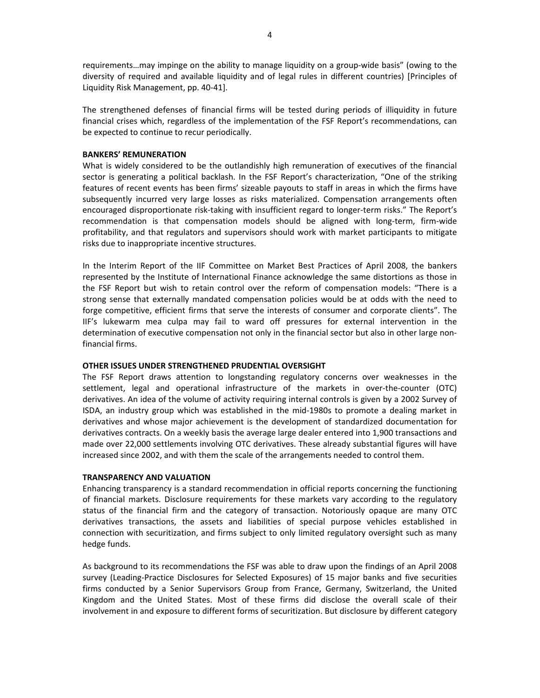requirements…may impinge on the ability to manage liquidity on a group‐wide basis" (owing to the diversity of required and available liquidity and of legal rules in different countries) [Principles of Liquidity Risk Management, pp. 40‐41].

The strengthened defenses of financial firms will be tested during periods of illiquidity in future financial crises which, regardless of the implementation of the FSF Report's recommendations, can be expected to continue to recur periodically.

# **BANKERS' REMUNERATION**

What is widely considered to be the outlandishly high remuneration of executives of the financial sector is generating a political backlash. In the FSF Report's characterization, "One of the striking features of recent events has been firms' sizeable payouts to staff in areas in which the firms have subsequently incurred very large losses as risks materialized. Compensation arrangements often encouraged disproportionate risk-taking with insufficient regard to longer-term risks." The Report's recommendation is that compensation models should be aligned with long‐term, firm‐wide profitability, and that regulators and supervisors should work with market participants to mitigate risks due to inappropriate incentive structures.

In the Interim Report of the IIF Committee on Market Best Practices of April 2008, the bankers represented by the Institute of International Finance acknowledge the same distortions as those in the FSF Report but wish to retain control over the reform of compensation models: "There is a strong sense that externally mandated compensation policies would be at odds with the need to forge competitive, efficient firms that serve the interests of consumer and corporate clients". The IIF's lukewarm mea culpa may fail to ward off pressures for external intervention in the determination of executive compensation not only in the financial sector but also in other large non‐ financial firms.

## **OTHER ISSUES UNDER STRENGTHENED PRUDENTIAL OVERSIGHT**

The FSF Report draws attention to longstanding regulatory concerns over weaknesses in the settlement, legal and operational infrastructure of the markets in over-the-counter (OTC) derivatives. An idea of the volume of activity requiring internal controls is given by a 2002 Survey of ISDA, an industry group which was established in the mid‐1980s to promote a dealing market in derivatives and whose major achievement is the development of standardized documentation for derivatives contracts. On a weekly basis the average large dealer entered into 1,900 transactions and made over 22,000 settlements involving OTC derivatives. These already substantial figures will have increased since 2002, and with them the scale of the arrangements needed to control them.

## **TRANSPARENCY AND VALUATION**

Enhancing transparency is a standard recommendation in official reports concerning the functioning of financial markets. Disclosure requirements for these markets vary according to the regulatory status of the financial firm and the category of transaction. Notoriously opaque are many OTC derivatives transactions, the assets and liabilities of special purpose vehicles established in connection with securitization, and firms subject to only limited regulatory oversight such as many hedge funds.

As background to its recommendations the FSF was able to draw upon the findings of an April 2008 survey (Leading‐Practice Disclosures for Selected Exposures) of 15 major banks and five securities firms conducted by a Senior Supervisors Group from France, Germany, Switzerland, the United Kingdom and the United States. Most of these firms did disclose the overall scale of their involvement in and exposure to different forms of securitization. But disclosure by different category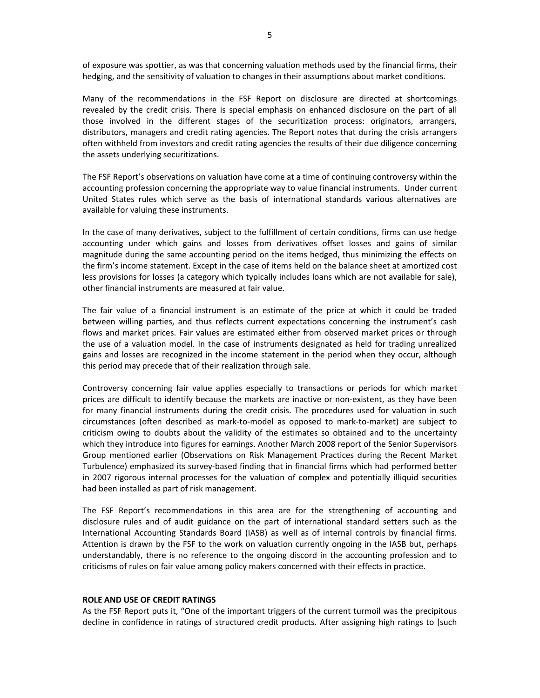of exposure was spottier, as was that concerning valuation methods used by the financial firms, their hedging, and the sensitivity of valuation to changes in their assumptions about market conditions.

Many of the recommendations in the FSF Report on disclosure are directed at shortcomings revealed by the credit crisis. There is special emphasis on enhanced disclosure on the part of all those involved in the different stages of the securitization process: originators, arrangers, distributors, managers and credit rating agencies. The Report notes that during the crisis arrangers often withheld from investors and credit rating agencies the results of their due diligence concerning the assets underlying securitizations.

The FSF Report's observations on valuation have come at a time of continuing controversy within the accounting profession concerning the appropriate way to value financial instruments. Under current United States rules which serve as the basis of international standards various alternatives are available for valuing these instruments.

In the case of many derivatives, subject to the fulfillment of certain conditions, firms can use hedge accounting under which gains and losses from derivatives offset losses and gains of similar magnitude during the same accounting period on the items hedged, thus minimizing the effects on the firm's income statement. Except in the case of items held on the balance sheet at amortized cost less provisions for losses (a category which typically includes loans which are not available for sale), other financial instruments are measured at fair value.

The fair value of a financial instrument is an estimate of the price at which it could be traded between willing parties, and thus reflects current expectations concerning the instrument's cash flows and market prices. Fair values are estimated either from observed market prices or through the use of a valuation model. In the case of instruments designated as held for trading unrealized gains and losses are recognized in the income statement in the period when they occur, although this period may precede that of their realization through sale.

Controversy concerning fair value applies especially to transactions or periods for which market prices are difficult to identify because the markets are inactive or non‐existent, as they have been for many financial instruments during the credit crisis. The procedures used for valuation in such circumstances (often described as mark‐to‐model as opposed to mark‐to‐market) are subject to criticism owing to doubts about the validity of the estimates so obtained and to the uncertainty which they introduce into figures for earnings. Another March 2008 report of the Senior Supervisors Group mentioned earlier (Observations on Risk Management Practices during the Recent Market Turbulence) emphasized its survey‐based finding that in financial firms which had performed better in 2007 rigorous internal processes for the valuation of complex and potentially illiquid securities had been installed as part of risk management.

The FSF Report's recommendations in this area are for the strengthening of accounting and disclosure rules and of audit guidance on the part of international standard setters such as the International Accounting Standards Board (IASB) as well as of internal controls by financial firms. Attention is drawn by the FSF to the work on valuation currently ongoing in the IASB but, perhaps understandably, there is no reference to the ongoing discord in the accounting profession and to criticisms of rules on fair value among policy makers concerned with their effects in practice.

#### **ROLE AND USE OF CREDIT RATINGS**

As the FSF Report puts it, "One of the important triggers of the current turmoil was the precipitous decline in confidence in ratings of structured credit products. After assigning high ratings to [such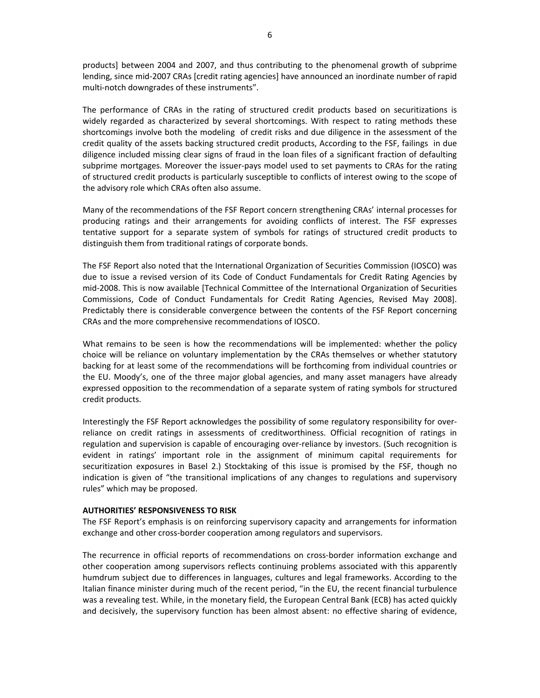products] between 2004 and 2007, and thus contributing to the phenomenal growth of subprime lending, since mid‐2007 CRAs [credit rating agencies] have announced an inordinate number of rapid multi-notch downgrades of these instruments".

The performance of CRAs in the rating of structured credit products based on securitizations is widely regarded as characterized by several shortcomings. With respect to rating methods these shortcomings involve both the modeling of credit risks and due diligence in the assessment of the credit quality of the assets backing structured credit products, According to the FSF, failings in due diligence included missing clear signs of fraud in the loan files of a significant fraction of defaulting subprime mortgages. Moreover the issuer-pays model used to set payments to CRAs for the rating of structured credit products is particularly susceptible to conflicts of interest owing to the scope of the advisory role which CRAs often also assume.

Many of the recommendations of the FSF Report concern strengthening CRAs' internal processes for producing ratings and their arrangements for avoiding conflicts of interest. The FSF expresses tentative support for a separate system of symbols for ratings of structured credit products to distinguish them from traditional ratings of corporate bonds.

The FSF Report also noted that the International Organization of Securities Commission (IOSCO) was due to issue a revised version of its Code of Conduct Fundamentals for Credit Rating Agencies by mid‐2008. This is now available [Technical Committee of the International Organization of Securities Commissions, Code of Conduct Fundamentals for Credit Rating Agencies, Revised May 2008]. Predictably there is considerable convergence between the contents of the FSF Report concerning CRAs and the more comprehensive recommendations of IOSCO.

What remains to be seen is how the recommendations will be implemented: whether the policy choice will be reliance on voluntary implementation by the CRAs themselves or whether statutory backing for at least some of the recommendations will be forthcoming from individual countries or the EU. Moody's, one of the three major global agencies, and many asset managers have already expressed opposition to the recommendation of a separate system of rating symbols for structured credit products.

Interestingly the FSF Report acknowledges the possibility of some regulatory responsibility for over‐ reliance on credit ratings in assessments of creditworthiness. Official recognition of ratings in regulation and supervision is capable of encouraging over‐reliance by investors. (Such recognition is evident in ratings' important role in the assignment of minimum capital requirements for securitization exposures in Basel 2.) Stocktaking of this issue is promised by the FSF, though no indication is given of "the transitional implications of any changes to regulations and supervisory rules" which may be proposed.

# **AUTHORITIES' RESPONSIVENESS TO RISK**

The FSF Report's emphasis is on reinforcing supervisory capacity and arrangements for information exchange and other cross‐border cooperation among regulators and supervisors.

The recurrence in official reports of recommendations on cross-border information exchange and other cooperation among supervisors reflects continuing problems associated with this apparently humdrum subject due to differences in languages, cultures and legal frameworks. According to the Italian finance minister during much of the recent period, "in the EU, the recent financial turbulence was a revealing test. While, in the monetary field, the European Central Bank (ECB) has acted quickly and decisively, the supervisory function has been almost absent: no effective sharing of evidence,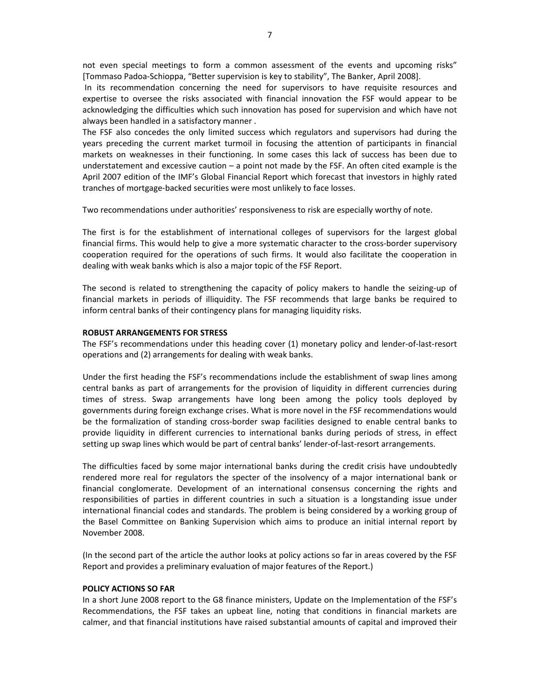In its recommendation concerning the need for supervisors to have requisite resources and expertise to oversee the risks associated with financial innovation the FSF would appear to be acknowledging the difficulties which such innovation has posed for supervision and which have not always been handled in a satisfactory manner .

The FSF also concedes the only limited success which regulators and supervisors had during the years preceding the current market turmoil in focusing the attention of participants in financial markets on weaknesses in their functioning. In some cases this lack of success has been due to understatement and excessive caution – a point not made by the FSF. An often cited example is the April 2007 edition of the IMF's Global Financial Report which forecast that investors in highly rated tranches of mortgage‐backed securities were most unlikely to face losses.

Two recommendations under authorities' responsiveness to risk are especially worthy of note.

The first is for the establishment of international colleges of supervisors for the largest global financial firms. This would help to give a more systematic character to the cross‐border supervisory cooperation required for the operations of such firms. It would also facilitate the cooperation in dealing with weak banks which is also a major topic of the FSF Report.

The second is related to strengthening the capacity of policy makers to handle the seizing‐up of financial markets in periods of illiquidity. The FSF recommends that large banks be required to inform central banks of their contingency plans for managing liquidity risks.

## **ROBUST ARRANGEMENTS FOR STRESS**

The FSF's recommendations under this heading cover (1) monetary policy and lender‐of‐last‐resort operations and (2) arrangements for dealing with weak banks.

Under the first heading the FSF's recommendations include the establishment of swap lines among central banks as part of arrangements for the provision of liquidity in different currencies during times of stress. Swap arrangements have long been among the policy tools deployed by governments during foreign exchange crises. What is more novel in the FSF recommendations would be the formalization of standing cross-border swap facilities designed to enable central banks to provide liquidity in different currencies to international banks during periods of stress, in effect setting up swap lines which would be part of central banks' lender‐of‐last‐resort arrangements.

The difficulties faced by some major international banks during the credit crisis have undoubtedly rendered more real for regulators the specter of the insolvency of a major international bank or financial conglomerate. Development of an international consensus concerning the rights and responsibilities of parties in different countries in such a situation is a longstanding issue under international financial codes and standards. The problem is being considered by a working group of the Basel Committee on Banking Supervision which aims to produce an initial internal report by November 2008.

(In the second part of the article the author looks at policy actions so far in areas covered by the FSF Report and provides a preliminary evaluation of major features of the Report.)

## **POLICY ACTIONS SO FAR**

In a short June 2008 report to the G8 finance ministers, Update on the Implementation of the FSF's Recommendations, the FSF takes an upbeat line, noting that conditions in financial markets are calmer, and that financial institutions have raised substantial amounts of capital and improved their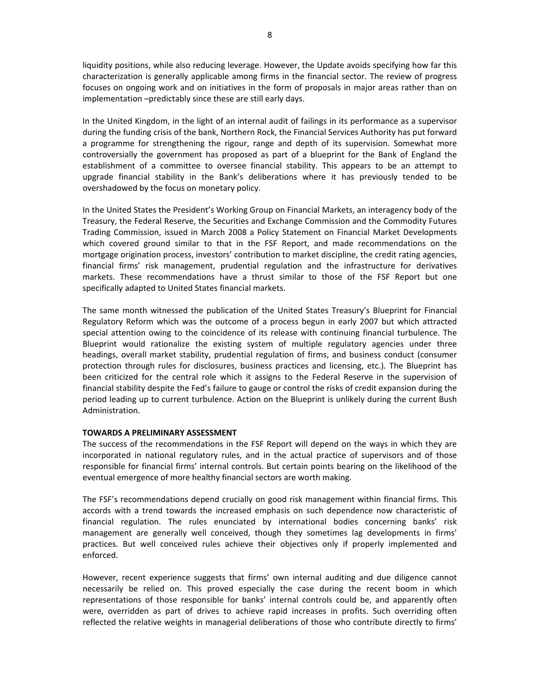liquidity positions, while also reducing leverage. However, the Update avoids specifying how far this characterization is generally applicable among firms in the financial sector. The review of progress focuses on ongoing work and on initiatives in the form of proposals in major areas rather than on implementation –predictably since these are still early days.

In the United Kingdom, in the light of an internal audit of failings in its performance as a supervisor during the funding crisis of the bank, Northern Rock, the Financial Services Authority has put forward a programme for strengthening the rigour, range and depth of its supervision. Somewhat more controversially the government has proposed as part of a blueprint for the Bank of England the establishment of a committee to oversee financial stability. This appears to be an attempt to upgrade financial stability in the Bank's deliberations where it has previously tended to be overshadowed by the focus on monetary policy.

In the United States the President's Working Group on Financial Markets, an interagency body of the Treasury, the Federal Reserve, the Securities and Exchange Commission and the Commodity Futures Trading Commission, issued in March 2008 a Policy Statement on Financial Market Developments which covered ground similar to that in the FSF Report, and made recommendations on the mortgage origination process, investors' contribution to market discipline, the credit rating agencies, financial firms' risk management, prudential regulation and the infrastructure for derivatives markets. These recommendations have a thrust similar to those of the FSF Report but one specifically adapted to United States financial markets.

The same month witnessed the publication of the United States Treasury's Blueprint for Financial Regulatory Reform which was the outcome of a process begun in early 2007 but which attracted special attention owing to the coincidence of its release with continuing financial turbulence. The Blueprint would rationalize the existing system of multiple regulatory agencies under three headings, overall market stability, prudential regulation of firms, and business conduct (consumer protection through rules for disclosures, business practices and licensing, etc.). The Blueprint has been criticized for the central role which it assigns to the Federal Reserve in the supervision of financial stability despite the Fed's failure to gauge or control the risks of credit expansion during the period leading up to current turbulence. Action on the Blueprint is unlikely during the current Bush Administration.

## **TOWARDS A PRELIMINARY ASSESSMENT**

The success of the recommendations in the FSF Report will depend on the ways in which they are incorporated in national regulatory rules, and in the actual practice of supervisors and of those responsible for financial firms' internal controls. But certain points bearing on the likelihood of the eventual emergence of more healthy financial sectors are worth making.

The FSF's recommendations depend crucially on good risk management within financial firms. This accords with a trend towards the increased emphasis on such dependence now characteristic of financial regulation. The rules enunciated by international bodies concerning banks' risk management are generally well conceived, though they sometimes lag developments in firms' practices. But well conceived rules achieve their objectives only if properly implemented and enforced.

However, recent experience suggests that firms' own internal auditing and due diligence cannot necessarily be relied on. This proved especially the case during the recent boom in which representations of those responsible for banks' internal controls could be, and apparently often were, overridden as part of drives to achieve rapid increases in profits. Such overriding often reflected the relative weights in managerial deliberations of those who contribute directly to firms'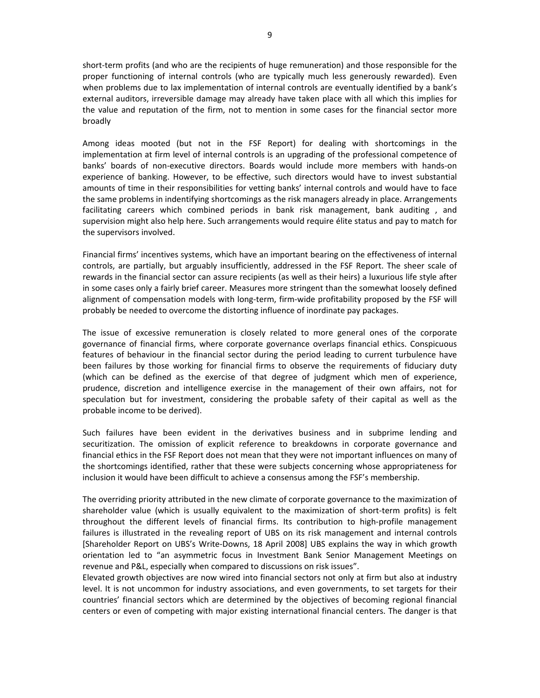short-term profits (and who are the recipients of huge remuneration) and those responsible for the proper functioning of internal controls (who are typically much less generously rewarded). Even when problems due to lax implementation of internal controls are eventually identified by a bank's external auditors, irreversible damage may already have taken place with all which this implies for the value and reputation of the firm, not to mention in some cases for the financial sector more broadly

Among ideas mooted (but not in the FSF Report) for dealing with shortcomings in the implementation at firm level of internal controls is an upgrading of the professional competence of banks' boards of non‐executive directors. Boards would include more members with hands‐on experience of banking. However, to be effective, such directors would have to invest substantial amounts of time in their responsibilities for vetting banks' internal controls and would have to face the same problems in indentifying shortcomings as the risk managers already in place. Arrangements facilitating careers which combined periods in bank risk management, bank auditing , and supervision might also help here. Such arrangements would require élite status and pay to match for the supervisors involved.

Financial firms' incentives systems, which have an important bearing on the effectiveness of internal controls, are partially, but arguably insufficiently, addressed in the FSF Report. The sheer scale of rewards in the financial sector can assure recipients (as well as their heirs) a luxurious life style after in some cases only a fairly brief career. Measures more stringent than the somewhat loosely defined alignment of compensation models with long‐term, firm‐wide profitability proposed by the FSF will probably be needed to overcome the distorting influence of inordinate pay packages.

The issue of excessive remuneration is closely related to more general ones of the corporate governance of financial firms, where corporate governance overlaps financial ethics. Conspicuous features of behaviour in the financial sector during the period leading to current turbulence have been failures by those working for financial firms to observe the requirements of fiduciary duty (which can be defined as the exercise of that degree of judgment which men of experience, prudence, discretion and intelligence exercise in the management of their own affairs, not for speculation but for investment, considering the probable safety of their capital as well as the probable income to be derived).

Such failures have been evident in the derivatives business and in subprime lending and securitization. The omission of explicit reference to breakdowns in corporate governance and financial ethics in the FSF Report does not mean that they were not important influences on many of the shortcomings identified, rather that these were subjects concerning whose appropriateness for inclusion it would have been difficult to achieve a consensus among the FSF's membership.

The overriding priority attributed in the new climate of corporate governance to the maximization of shareholder value (which is usually equivalent to the maximization of short-term profits) is felt throughout the different levels of financial firms. Its contribution to high‐profile management failures is illustrated in the revealing report of UBS on its risk management and internal controls [Shareholder Report on UBS's Write‐Downs, 18 April 2008] UBS explains the way in which growth orientation led to "an asymmetric focus in Investment Bank Senior Management Meetings on revenue and P&L, especially when compared to discussions on risk issues".

Elevated growth objectives are now wired into financial sectors not only at firm but also at industry level. It is not uncommon for industry associations, and even governments, to set targets for their countries' financial sectors which are determined by the objectives of becoming regional financial centers or even of competing with major existing international financial centers. The danger is that